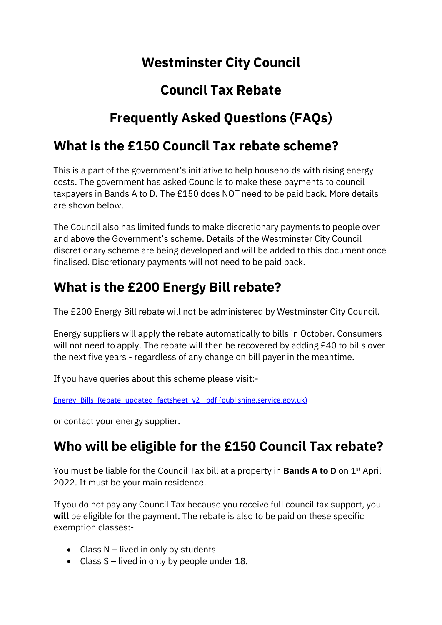# **Westminster City Council**

# **Council Tax Rebate**

# **Frequently Asked Questions (FAQs)**

## **What is the £150 Council Tax rebate scheme?**

This is a part of the government's initiative to help households with rising energy costs. The government has asked Councils to make these payments to council taxpayers in Bands A to D. The £150 does NOT need to be paid back. More details are shown below.

The Council also has limited funds to make discretionary payments to people over and above the Government's scheme. Details of the Westminster City Council discretionary scheme are being developed and will be added to this document once finalised. Discretionary payments will not need to be paid back.

# **What is the £200 Energy Bill rebate?**

The £200 Energy Bill rebate will not be administered by Westminster City Council.

[Energy suppliers](https://www.telegraph.co.uk/money/consumer-affairs/best-price-comparison-websites-find-deal-save-money-energy-2022/) will apply the rebate automatically to bills in October. Consumers will not need to apply. The rebate will then be recovered by adding £40 to bills over the next five years - regardless of any change on bill payer in the meantime.

If you have queries about this scheme please visit:-

[Energy\\_Bills\\_Rebate\\_updated\\_factsheet\\_v2\\_.pdf \(publishing.service.gov.uk\)](https://assets.publishing.service.gov.uk/government/uploads/system/uploads/attachment_data/file/1052719/Energy_Bills_Rebate_updated_factsheet_v2_.pdf)

or contact your energy supplier.

# **Who will be eligible for the £150 Council Tax rebate?**

You must be liable for the Council Tax bill at a property in **Bands A to D** on 1st April 2022. It must be your main residence.

If you do not pay any Council Tax because you receive full council tax support, you **will** be eligible for the payment. The rebate is also to be paid on these specific exemption classes:-

- Class N lived in only by students
- Class S lived in only by people under 18.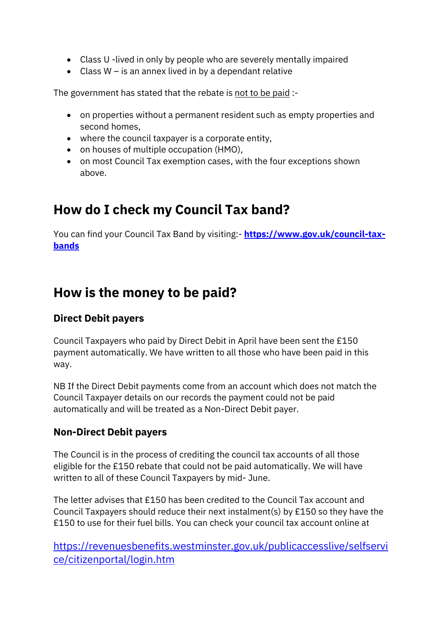- Class U -lived in only by people who are severely mentally impaired
- Class W is an annex lived in by a dependant relative

The government has stated that the rebate is not to be paid :-

- on properties without a permanent resident such as empty properties and second homes,
- where the council taxpayer is a corporate entity,
- on houses of multiple occupation (HMO),
- on most Council Tax exemption cases, with the four exceptions shown above.

# **How do I check my Council Tax band?**

You can find your Council Tax Band by visiting: **[https://www.gov.uk/council-tax](https://www.gov.uk/council-tax-bands)[bands](https://www.gov.uk/council-tax-bands)**

## **How is the money to be paid?**

#### **Direct Debit payers**

Council Taxpayers who paid by Direct Debit in April have been sent the £150 payment automatically. We have written to all those who have been paid in this way.

NB If the Direct Debit payments come from an account which does not match the Council Taxpayer details on our records the payment could not be paid automatically and will be treated as a Non-Direct Debit payer.

### **Non-Direct Debit payers**

The Council is in the process of crediting the council tax accounts of all those eligible for the £150 rebate that could not be paid automatically. We will have written to all of these Council Taxpayers by mid- June.

The letter advises that £150 has been credited to the Council Tax account and Council Taxpayers should reduce their next instalment(s) by £150 so they have the £150 to use for their fuel bills. You can check your council tax account online at

[https://revenuesbenefits.westminster.gov.uk/publicaccesslive/selfservi](https://revenuesbenefits.westminster.gov.uk/publicaccesslive/selfservice/citizenportal/login.htm) [ce/citizenportal/login.htm](https://revenuesbenefits.westminster.gov.uk/publicaccesslive/selfservice/citizenportal/login.htm)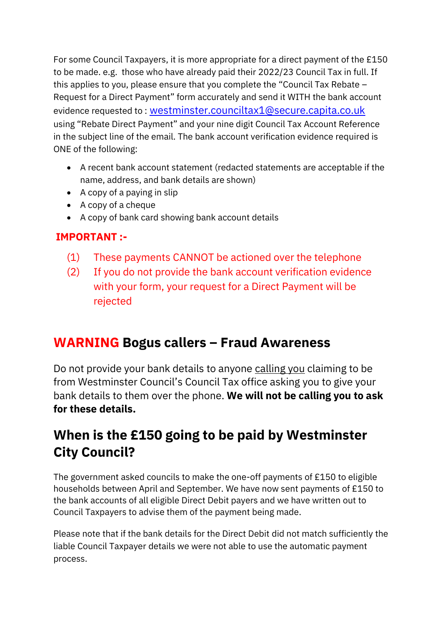For some Council Taxpayers, it is more appropriate for a direct payment of the £150 to be made. e.g. those who have already paid their 2022/23 Council Tax in full. If this applies to you, please ensure that you complete the "Council Tax Rebate – Request for a Direct Payment" form accurately and send it WITH the bank account evidence requested to : [westminster.counciltax1@secure.capita.co.uk](mailto:westminster.counciltax1@secure.capita.co.uk) using "Rebate Direct Payment" and your nine digit Council Tax Account Reference in the subject line of the email. The bank account verification evidence required is ONE of the following:

- A recent bank account statement (redacted statements are acceptable if the name, address, and bank details are shown)
- A copy of a paying in slip
- A copy of a cheque
- A copy of bank card showing bank account details

### **IMPORTANT :-**

- (1) These payments CANNOT be actioned over the telephone
- (2) If you do not provide the bank account verification evidence with your form, your request for a Direct Payment will be rejected

# **WARNING Bogus callers – Fraud Awareness**

Do not provide your bank details to anyone calling you claiming to be from Westminster Council's Council Tax office asking you to give your bank details to them over the phone. **We will not be calling you to ask for these details.** 

# **When is the £150 going to be paid by Westminster City Council?**

The government asked councils to make the one-off payments of £150 to eligible households between April and September. We have now sent payments of £150 to the bank accounts of all eligible Direct Debit payers and we have written out to Council Taxpayers to advise them of the payment being made.

Please note that if the bank details for the Direct Debit did not match sufficiently the liable Council Taxpayer details we were not able to use the automatic payment process.